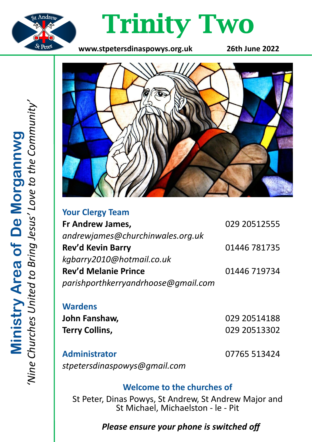

# **Trinity Two**

**www.stpetersdinaspowys.org.uk 26th June 2022**



| 029 20512555 |
|--------------|
|              |
| 01446 781735 |
|              |
| 01446 719734 |
|              |
|              |

**Wardens John Fanshaw,** 029 20514188 **Terry Collins,** 029 20513302

**Administrator** 07765 513424 *stpetersdinaspowys@gmail.com*

# **Welcome to the churches of**

St Peter, Dinas Powys, St Andrew, St Andrew Major and St Michael, Michaelston - le - Pit

# *Please ensure your phone is switched off*

*'Nine Churches United to Bring Jesus' Love to the Community'* Ministry Area of De Morgannwg<br>'Nine Churches United to Bring Jesus' Love to the Community **Ministry Area of De Morgannwg**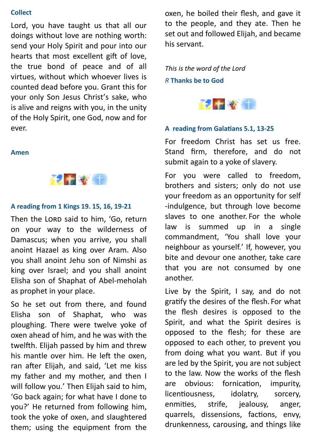#### **Collect**

Lord, you have taught us that all our doings without love are nothing worth: send your Holy Spirit and pour into our hearts that most excellent gift of love, the true bond of peace and of all virtues, without which whoever lives is counted dead before you. Grant this for your only Son Jesus Christ's sake, who is alive and reigns with you, in the unity of the Holy Spirit, one God, now and for ever.

#### **Amen**



## **A reading from 1 Kings 19. 15, 16, 19-21**

Then the LORD said to him, 'Go, return on your way to the wilderness of Damascus; when you arrive, you shall anoint Hazael as king over Aram. Also you shall anoint Jehu son of Nimshi as king over Israel; and you shall anoint Elisha son of Shaphat of Abel-meholah as prophet in your place.

So he set out from there, and found Elisha son of Shaphat, who was ploughing. There were twelve yoke of oxen ahead of him, and he was with the twelfth. Elijah passed by him and threw his mantle over him. He left the oxen, ran after Elijah, and said, 'Let me kiss my father and my mother, and then I will follow you.' Then Elijah said to him, 'Go back again; for what have I done to you?' He returned from following him, took the yoke of oxen, and slaughtered them; using the equipment from the

oxen, he boiled their flesh, and gave it to the people, and they ate. Then he set out and followed Elijah, and became his servant.

*This is the word of the Lord R* **Thanks be to God**



## **A reading from Galatians 5.1, 13-25**

For freedom Christ has set us free. Stand firm, therefore, and do not submit again to a yoke of slavery.

For you were called to freedom, brothers and sisters; only do not use your freedom as an opportunity for self -indulgence, but through love become slaves to one another. For the whole law is summed up in a single commandment, 'You shall love your neighbour as yourself.' If, however, you bite and devour one another, take care that you are not consumed by one another.

Live by the Spirit, I say, and do not gratify the desires of the flesh. For what the flesh desires is opposed to the Spirit, and what the Spirit desires is opposed to the flesh; for these are opposed to each other, to prevent you from doing what you want. But if you are led by the Spirit, you are not subject to the law. Now the works of the flesh are obvious: fornication, impurity, licentiousness, idolatry, sorcery, enmities, strife, jealousy, anger, quarrels, dissensions, factions, envy, drunkenness, carousing, and things like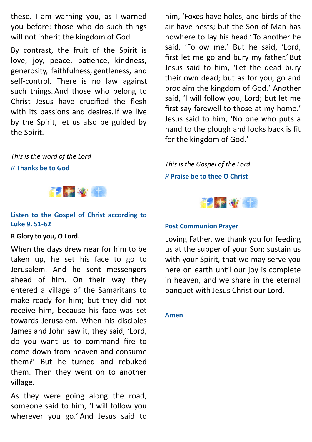these. I am warning you, as I warned you before: those who do such things will not inherit the kingdom of God.

By contrast, the fruit of the Spirit is love, joy, peace, patience, kindness, generosity, faithfulness, gentleness, and self-control. There is no law against such things. And those who belong to Christ Jesus have crucified the flesh with its passions and desires. If we live by the Spirit, let us also be guided by the Spirit.

*This is the word of the Lord R* **Thanks be to God**



#### **Listen to the Gospel of Christ according to Luke 9. 51-62**

#### **R Glory to you, O Lord.**

When the days drew near for him to be taken up, he set his face to go to Jerusalem. And he sent messengers ahead of him. On their way they entered a village of the Samaritans to make ready for him; but they did not receive him, because his face was set towards Jerusalem. When his disciples James and John saw it, they said, 'Lord, do you want us to command fire to come down from heaven and consume them?' But he turned and rebuked them. Then they went on to another village.

As they were going along the road, someone said to him, 'I will follow you wherever you go.' And Jesus said to him, 'Foxes have holes, and birds of the air have nests; but the Son of Man has nowhere to lay his head.' To another he said, 'Follow me.' But he said, 'Lord, first let me go and bury my father.' But Jesus said to him, 'Let the dead bury their own dead; but as for you, go and proclaim the kingdom of God.' Another said, 'I will follow you, Lord; but let me first say farewell to those at my home.' Jesus said to him, 'No one who puts a hand to the plough and looks back is fit for the kingdom of God.'

*This is the Gospel of the Lord R* **Praise be to thee O Christ**



#### **Post Communion Prayer**

Loving Father, we thank you for feeding us at the supper of your Son: sustain us with your Spirit, that we may serve you here on earth until our joy is complete in heaven, and we share in the eternal banquet with Jesus Christ our Lord.

#### **Amen**